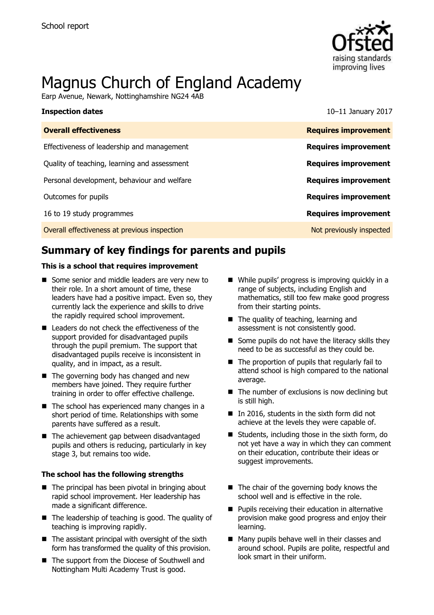

# Magnus Church of England Academy

Earp Avenue, Newark, Nottinghamshire NG24 4AB

| <b>Inspection dates</b>                      | $10-11$ January 2017        |
|----------------------------------------------|-----------------------------|
| <b>Overall effectiveness</b>                 | <b>Requires improvement</b> |
| Effectiveness of leadership and management   | <b>Requires improvement</b> |
| Quality of teaching, learning and assessment | <b>Requires improvement</b> |
| Personal development, behaviour and welfare  | <b>Requires improvement</b> |
| Outcomes for pupils                          | <b>Requires improvement</b> |
| 16 to 19 study programmes                    | <b>Requires improvement</b> |
| Overall effectiveness at previous inspection | Not previously inspected    |

# **Summary of key findings for parents and pupils**

#### **This is a school that requires improvement**

- Some senior and middle leaders are very new to their role. In a short amount of time, these leaders have had a positive impact. Even so, they currently lack the experience and skills to drive the rapidly required school improvement.
- Leaders do not check the effectiveness of the support provided for disadvantaged pupils through the pupil premium. The support that disadvantaged pupils receive is inconsistent in quality, and in impact, as a result.
- The governing body has changed and new members have joined. They require further training in order to offer effective challenge.
- The school has experienced many changes in a short period of time. Relationships with some parents have suffered as a result.
- The achievement gap between disadvantaged pupils and others is reducing, particularly in key stage 3, but remains too wide.

#### **The school has the following strengths**

- $\blacksquare$  The principal has been pivotal in bringing about rapid school improvement. Her leadership has made a significant difference.
- The leadership of teaching is good. The quality of teaching is improving rapidly.
- $\blacksquare$  The assistant principal with oversight of the sixth form has transformed the quality of this provision.
- The support from the Diocese of Southwell and Nottingham Multi Academy Trust is good.
- While pupils' progress is improving quickly in a range of subjects, including English and mathematics, still too few make good progress from their starting points.
- The quality of teaching, learning and assessment is not consistently good.
- $\blacksquare$  Some pupils do not have the literacy skills they need to be as successful as they could be.
- The proportion of pupils that regularly fail to attend school is high compared to the national average.
- $\blacksquare$  The number of exclusions is now declining but is still high.
- $\blacksquare$  In 2016, students in the sixth form did not achieve at the levels they were capable of.
- Students, including those in the sixth form, do not yet have a way in which they can comment on their education, contribute their ideas or suggest improvements.
- $\blacksquare$  The chair of the governing body knows the school well and is effective in the role.
- **Pupils receiving their education in alternative** provision make good progress and enjoy their learning.
- Many pupils behave well in their classes and around school. Pupils are polite, respectful and look smart in their uniform.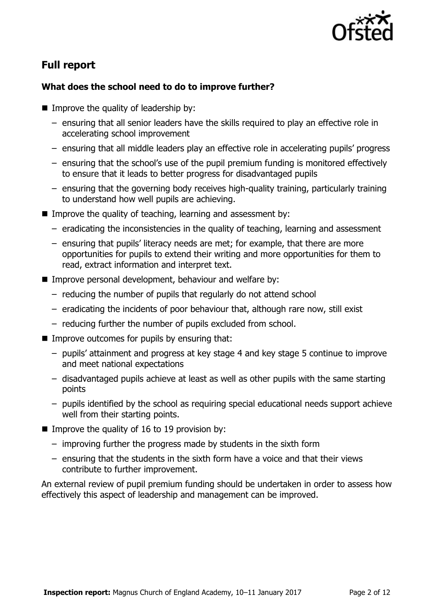

# **Full report**

### **What does the school need to do to improve further?**

- $\blacksquare$  Improve the quality of leadership by:
	- ensuring that all senior leaders have the skills required to play an effective role in accelerating school improvement
	- ensuring that all middle leaders play an effective role in accelerating pupils' progress
	- ensuring that the school's use of the pupil premium funding is monitored effectively to ensure that it leads to better progress for disadvantaged pupils
	- ensuring that the governing body receives high-quality training, particularly training to understand how well pupils are achieving.
- Improve the quality of teaching, learning and assessment by:
	- eradicating the inconsistencies in the quality of teaching, learning and assessment
	- ensuring that pupils' literacy needs are met; for example, that there are more opportunities for pupils to extend their writing and more opportunities for them to read, extract information and interpret text.
- **IMPROVE personal development, behaviour and welfare by:** 
	- reducing the number of pupils that regularly do not attend school
	- eradicating the incidents of poor behaviour that, although rare now, still exist
	- reducing further the number of pupils excluded from school.
- $\blacksquare$  Improve outcomes for pupils by ensuring that:
	- pupils' attainment and progress at key stage 4 and key stage 5 continue to improve and meet national expectations
	- disadvantaged pupils achieve at least as well as other pupils with the same starting points
	- pupils identified by the school as requiring special educational needs support achieve well from their starting points.
- Improve the quality of 16 to 19 provision by:
	- improving further the progress made by students in the sixth form
	- ensuring that the students in the sixth form have a voice and that their views contribute to further improvement.

An external review of pupil premium funding should be undertaken in order to assess how effectively this aspect of leadership and management can be improved.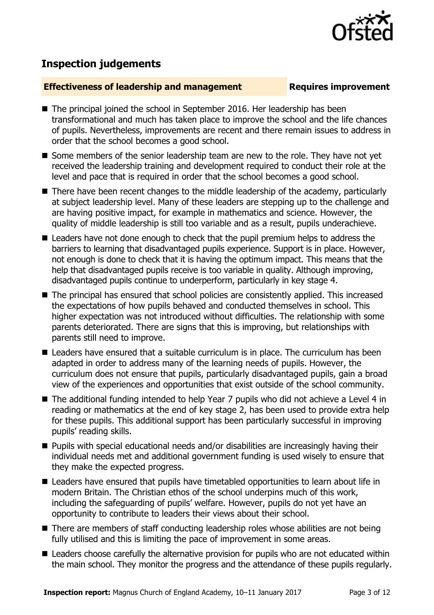

# **Inspection judgements**

### **Effectiveness of leadership and management Requires improvement**

- The principal joined the school in September 2016. Her leadership has been transformational and much has taken place to improve the school and the life chances of pupils. Nevertheless, improvements are recent and there remain issues to address in order that the school becomes a good school.
- Some members of the senior leadership team are new to the role. They have not yet received the leadership training and development required to conduct their role at the level and pace that is required in order that the school becomes a good school.
- There have been recent changes to the middle leadership of the academy, particularly at subject leadership level. Many of these leaders are stepping up to the challenge and are having positive impact, for example in mathematics and science. However, the quality of middle leadership is still too variable and as a result, pupils underachieve.
- Leaders have not done enough to check that the pupil premium helps to address the barriers to learning that disadvantaged pupils experience. Support is in place. However, not enough is done to check that it is having the optimum impact. This means that the help that disadvantaged pupils receive is too variable in quality. Although improving, disadvantaged pupils continue to underperform, particularly in key stage 4.
- The principal has ensured that school policies are consistently applied. This increased the expectations of how pupils behaved and conducted themselves in school. This higher expectation was not introduced without difficulties. The relationship with some parents deteriorated. There are signs that this is improving, but relationships with parents still need to improve.
- Leaders have ensured that a suitable curriculum is in place. The curriculum has been adapted in order to address many of the learning needs of pupils. However, the curriculum does not ensure that pupils, particularly disadvantaged pupils, gain a broad view of the experiences and opportunities that exist outside of the school community.
- The additional funding intended to help Year 7 pupils who did not achieve a Level 4 in reading or mathematics at the end of key stage 2, has been used to provide extra help for these pupils. This additional support has been particularly successful in improving pupils' reading skills.
- Pupils with special educational needs and/or disabilities are increasingly having their individual needs met and additional government funding is used wisely to ensure that they make the expected progress.
- Leaders have ensured that pupils have timetabled opportunities to learn about life in modern Britain. The Christian ethos of the school underpins much of this work, including the safeguarding of pupils' welfare. However, pupils do not yet have an opportunity to contribute to leaders their views about their school.
- There are members of staff conducting leadership roles whose abilities are not being fully utilised and this is limiting the pace of improvement in some areas.
- Leaders choose carefully the alternative provision for pupils who are not educated within the main school. They monitor the progress and the attendance of these pupils regularly.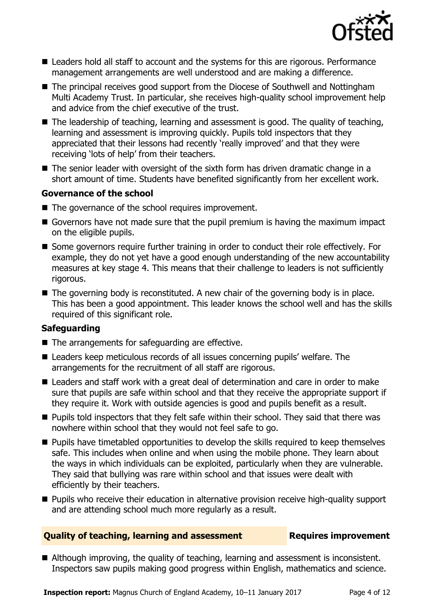

- Leaders hold all staff to account and the systems for this are rigorous. Performance management arrangements are well understood and are making a difference.
- The principal receives good support from the Diocese of Southwell and Nottingham Multi Academy Trust. In particular, she receives high-quality school improvement help and advice from the chief executive of the trust.
- $\blacksquare$  The leadership of teaching, learning and assessment is good. The quality of teaching, learning and assessment is improving quickly. Pupils told inspectors that they appreciated that their lessons had recently 'really improved' and that they were receiving 'lots of help' from their teachers.
- The senior leader with oversight of the sixth form has driven dramatic change in a short amount of time. Students have benefited significantly from her excellent work.

#### **Governance of the school**

- The governance of the school requires improvement.
- Governors have not made sure that the pupil premium is having the maximum impact on the eligible pupils.
- Some governors require further training in order to conduct their role effectively. For example, they do not yet have a good enough understanding of the new accountability measures at key stage 4. This means that their challenge to leaders is not sufficiently rigorous.
- The governing body is reconstituted. A new chair of the governing body is in place. This has been a good appointment. This leader knows the school well and has the skills required of this significant role.

### **Safeguarding**

- The arrangements for safeguarding are effective.
- Leaders keep meticulous records of all issues concerning pupils' welfare. The arrangements for the recruitment of all staff are rigorous.
- Leaders and staff work with a great deal of determination and care in order to make sure that pupils are safe within school and that they receive the appropriate support if they require it. Work with outside agencies is good and pupils benefit as a result.
- **Pupils told inspectors that they felt safe within their school. They said that there was** nowhere within school that they would not feel safe to go.
- **Pupils have timetabled opportunities to develop the skills required to keep themselves** safe. This includes when online and when using the mobile phone. They learn about the ways in which individuals can be exploited, particularly when they are vulnerable. They said that bullying was rare within school and that issues were dealt with efficiently by their teachers.
- **Pupils who receive their education in alternative provision receive high-quality support** and are attending school much more regularly as a result.

#### **Quality of teaching, learning and assessment Fig. 2.1 Requires improvement**

Although improving, the quality of teaching, learning and assessment is inconsistent. Inspectors saw pupils making good progress within English, mathematics and science.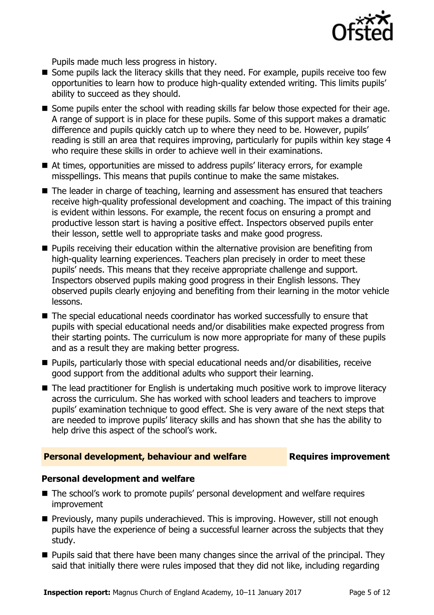

Pupils made much less progress in history.

- Some pupils lack the literacy skills that they need. For example, pupils receive too few opportunities to learn how to produce high-quality extended writing. This limits pupils' ability to succeed as they should.
- Some pupils enter the school with reading skills far below those expected for their age. A range of support is in place for these pupils. Some of this support makes a dramatic difference and pupils quickly catch up to where they need to be. However, pupils' reading is still an area that requires improving, particularly for pupils within key stage 4 who require these skills in order to achieve well in their examinations.
- At times, opportunities are missed to address pupils' literacy errors, for example misspellings. This means that pupils continue to make the same mistakes.
- The leader in charge of teaching, learning and assessment has ensured that teachers receive high-quality professional development and coaching. The impact of this training is evident within lessons. For example, the recent focus on ensuring a prompt and productive lesson start is having a positive effect. Inspectors observed pupils enter their lesson, settle well to appropriate tasks and make good progress.
- **Pupils receiving their education within the alternative provision are benefiting from** high-quality learning experiences. Teachers plan precisely in order to meet these pupils' needs. This means that they receive appropriate challenge and support. Inspectors observed pupils making good progress in their English lessons. They observed pupils clearly enjoying and benefiting from their learning in the motor vehicle lessons.
- The special educational needs coordinator has worked successfully to ensure that pupils with special educational needs and/or disabilities make expected progress from their starting points. The curriculum is now more appropriate for many of these pupils and as a result they are making better progress.
- Pupils, particularly those with special educational needs and/or disabilities, receive good support from the additional adults who support their learning.
- The lead practitioner for English is undertaking much positive work to improve literacy across the curriculum. She has worked with school leaders and teachers to improve pupils' examination technique to good effect. She is very aware of the next steps that are needed to improve pupils' literacy skills and has shown that she has the ability to help drive this aspect of the school's work.

#### **Personal development, behaviour and welfare Fig. 2.1 Requires improvement**

#### **Personal development and welfare**

- The school's work to promote pupils' personal development and welfare requires improvement
- **Previously, many pupils underachieved. This is improving. However, still not enough** pupils have the experience of being a successful learner across the subjects that they study.
- $\blacksquare$  Pupils said that there have been many changes since the arrival of the principal. They said that initially there were rules imposed that they did not like, including regarding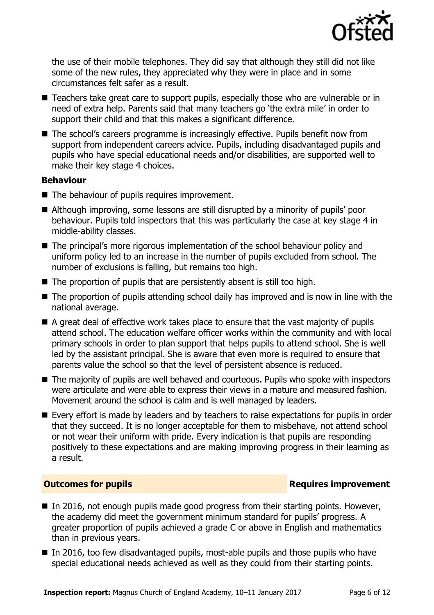

the use of their mobile telephones. They did say that although they still did not like some of the new rules, they appreciated why they were in place and in some circumstances felt safer as a result.

- Teachers take great care to support pupils, especially those who are vulnerable or in need of extra help. Parents said that many teachers go 'the extra mile' in order to support their child and that this makes a significant difference.
- The school's careers programme is increasingly effective. Pupils benefit now from support from independent careers advice. Pupils, including disadvantaged pupils and pupils who have special educational needs and/or disabilities, are supported well to make their key stage 4 choices.

#### **Behaviour**

- The behaviour of pupils requires improvement.
- Although improving, some lessons are still disrupted by a minority of pupils' poor behaviour. Pupils told inspectors that this was particularly the case at key stage 4 in middle-ability classes.
- The principal's more rigorous implementation of the school behaviour policy and uniform policy led to an increase in the number of pupils excluded from school. The number of exclusions is falling, but remains too high.
- The proportion of pupils that are persistently absent is still too high.
- The proportion of pupils attending school daily has improved and is now in line with the national average.
- A great deal of effective work takes place to ensure that the vast majority of pupils attend school. The education welfare officer works within the community and with local primary schools in order to plan support that helps pupils to attend school. She is well led by the assistant principal. She is aware that even more is required to ensure that parents value the school so that the level of persistent absence is reduced.
- The majority of pupils are well behaved and courteous. Pupils who spoke with inspectors were articulate and were able to express their views in a mature and measured fashion. Movement around the school is calm and is well managed by leaders.
- Every effort is made by leaders and by teachers to raise expectations for pupils in order that they succeed. It is no longer acceptable for them to misbehave, not attend school or not wear their uniform with pride. Every indication is that pupils are responding positively to these expectations and are making improving progress in their learning as a result.

### **Outcomes for pupils Requires improvement**

- In 2016, not enough pupils made good progress from their starting points. However, the academy did meet the government minimum standard for pupils' progress. A greater proportion of pupils achieved a grade C or above in English and mathematics than in previous years.
- $\blacksquare$  In 2016, too few disadvantaged pupils, most-able pupils and those pupils who have special educational needs achieved as well as they could from their starting points.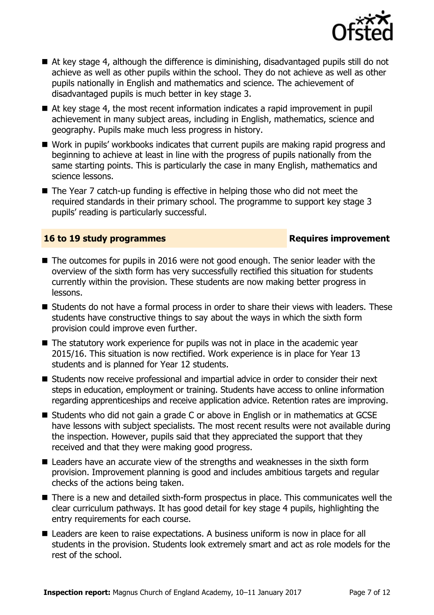

- At key stage 4, although the difference is diminishing, disadvantaged pupils still do not achieve as well as other pupils within the school. They do not achieve as well as other pupils nationally in English and mathematics and science. The achievement of disadvantaged pupils is much better in key stage 3.
- At key stage 4, the most recent information indicates a rapid improvement in pupil achievement in many subject areas, including in English, mathematics, science and geography. Pupils make much less progress in history.
- Work in pupils' workbooks indicates that current pupils are making rapid progress and beginning to achieve at least in line with the progress of pupils nationally from the same starting points. This is particularly the case in many English, mathematics and science lessons.
- The Year 7 catch-up funding is effective in helping those who did not meet the required standards in their primary school. The programme to support key stage 3 pupils' reading is particularly successful.

#### **16 to 19 study programmes Requires improvement**

- The outcomes for pupils in 2016 were not good enough. The senior leader with the overview of the sixth form has very successfully rectified this situation for students currently within the provision. These students are now making better progress in lessons.
- Students do not have a formal process in order to share their views with leaders. These students have constructive things to say about the ways in which the sixth form provision could improve even further.
- The statutory work experience for pupils was not in place in the academic year 2015/16. This situation is now rectified. Work experience is in place for Year 13 students and is planned for Year 12 students.
- Students now receive professional and impartial advice in order to consider their next steps in education, employment or training. Students have access to online information regarding apprenticeships and receive application advice. Retention rates are improving.
- Students who did not gain a grade C or above in English or in mathematics at GCSE have lessons with subject specialists. The most recent results were not available during the inspection. However, pupils said that they appreciated the support that they received and that they were making good progress.
- Leaders have an accurate view of the strengths and weaknesses in the sixth form provision. Improvement planning is good and includes ambitious targets and regular checks of the actions being taken.
- There is a new and detailed sixth-form prospectus in place. This communicates well the clear curriculum pathways. It has good detail for key stage 4 pupils, highlighting the entry requirements for each course.
- Leaders are keen to raise expectations. A business uniform is now in place for all students in the provision. Students look extremely smart and act as role models for the rest of the school.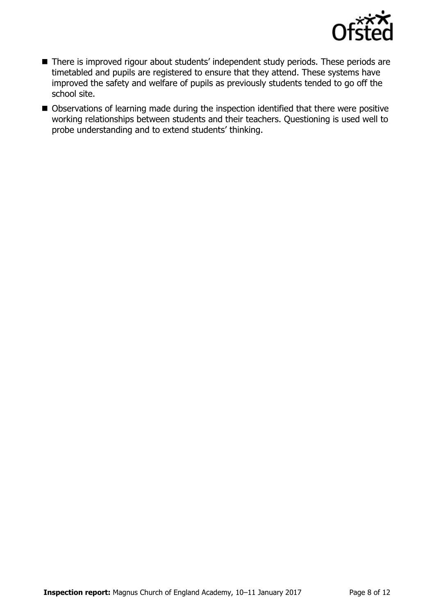

- There is improved rigour about students' independent study periods. These periods are timetabled and pupils are registered to ensure that they attend. These systems have improved the safety and welfare of pupils as previously students tended to go off the school site.
- Observations of learning made during the inspection identified that there were positive working relationships between students and their teachers. Questioning is used well to probe understanding and to extend students' thinking.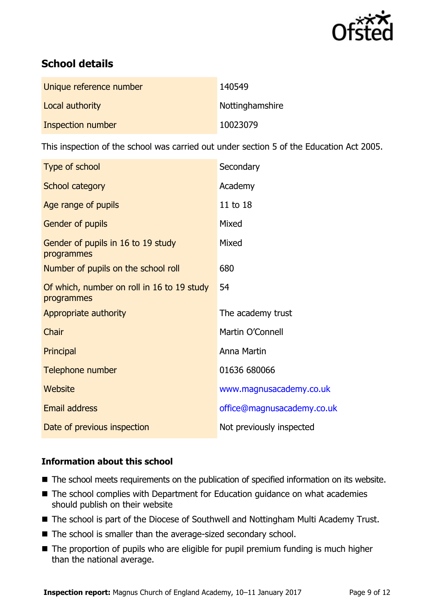

# **School details**

| Unique reference number | 140549          |
|-------------------------|-----------------|
| Local authority         | Nottinghamshire |
| Inspection number       | 10023079        |

This inspection of the school was carried out under section 5 of the Education Act 2005.

| Type of school                                           | Secondary                  |
|----------------------------------------------------------|----------------------------|
| School category                                          | Academy                    |
| Age range of pupils                                      | 11 to 18                   |
| Gender of pupils                                         | Mixed                      |
| Gender of pupils in 16 to 19 study<br>programmes         | Mixed                      |
| Number of pupils on the school roll                      | 680                        |
| Of which, number on roll in 16 to 19 study<br>programmes | 54                         |
| Appropriate authority                                    | The academy trust          |
| Chair                                                    | Martin O'Connell           |
| Principal                                                | Anna Martin                |
| Telephone number                                         | 01636 680066               |
| Website                                                  | www.magnusacademy.co.uk    |
| <b>Email address</b>                                     | office@magnusacademy.co.uk |
| Date of previous inspection                              | Not previously inspected   |

### **Information about this school**

- The school meets requirements on the publication of specified information on its website.
- The school complies with Department for Education guidance on what academies should publish on their website
- The school is part of the Diocese of Southwell and Nottingham Multi Academy Trust.
- The school is smaller than the average-sized secondary school.
- The proportion of pupils who are eligible for pupil premium funding is much higher than the national average.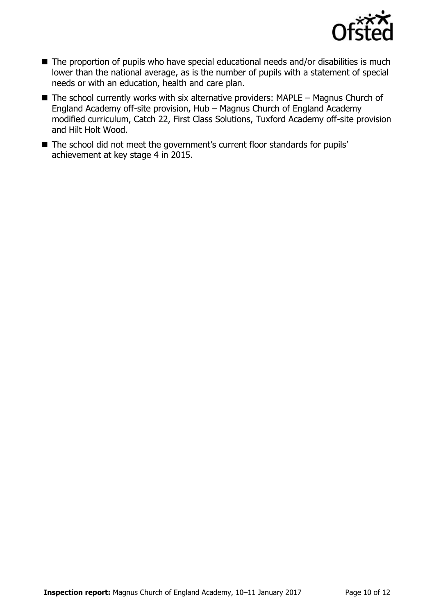

- The proportion of pupils who have special educational needs and/or disabilities is much lower than the national average, as is the number of pupils with a statement of special needs or with an education, health and care plan.
- $\blacksquare$  The school currently works with six alternative providers: MAPLE Magnus Church of England Academy off-site provision, Hub – Magnus Church of England Academy modified curriculum, Catch 22, First Class Solutions, Tuxford Academy off-site provision and Hilt Holt Wood.
- The school did not meet the government's current floor standards for pupils' achievement at key stage 4 in 2015.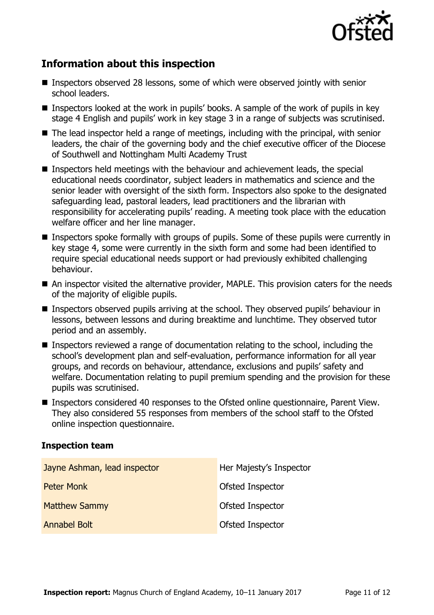

# **Information about this inspection**

- Inspectors observed 28 lessons, some of which were observed jointly with senior school leaders.
- **Inspectors looked at the work in pupils' books. A sample of the work of pupils in key** stage 4 English and pupils' work in key stage 3 in a range of subjects was scrutinised.
- $\blacksquare$  The lead inspector held a range of meetings, including with the principal, with senior leaders, the chair of the governing body and the chief executive officer of the Diocese of Southwell and Nottingham Multi Academy Trust
- Inspectors held meetings with the behaviour and achievement leads, the special educational needs coordinator, subject leaders in mathematics and science and the senior leader with oversight of the sixth form. Inspectors also spoke to the designated safeguarding lead, pastoral leaders, lead practitioners and the librarian with responsibility for accelerating pupils' reading. A meeting took place with the education welfare officer and her line manager.
- Inspectors spoke formally with groups of pupils. Some of these pupils were currently in key stage 4, some were currently in the sixth form and some had been identified to require special educational needs support or had previously exhibited challenging behaviour.
- An inspector visited the alternative provider, MAPLE. This provision caters for the needs of the majority of eligible pupils.
- Inspectors observed pupils arriving at the school. They observed pupils' behaviour in lessons, between lessons and during breaktime and lunchtime. They observed tutor period and an assembly.
- Inspectors reviewed a range of documentation relating to the school, including the school's development plan and self-evaluation, performance information for all year groups, and records on behaviour, attendance, exclusions and pupils' safety and welfare. Documentation relating to pupil premium spending and the provision for these pupils was scrutinised.
- Inspectors considered 40 responses to the Ofsted online questionnaire, Parent View. They also considered 55 responses from members of the school staff to the Ofsted online inspection questionnaire.

#### **Inspection team**

| Jayne Ashman, lead inspector | Her Majesty's Inspector |
|------------------------------|-------------------------|
| <b>Peter Monk</b>            | Ofsted Inspector        |
| <b>Matthew Sammy</b>         | <b>Ofsted Inspector</b> |
| Annabel Bolt                 | Ofsted Inspector        |